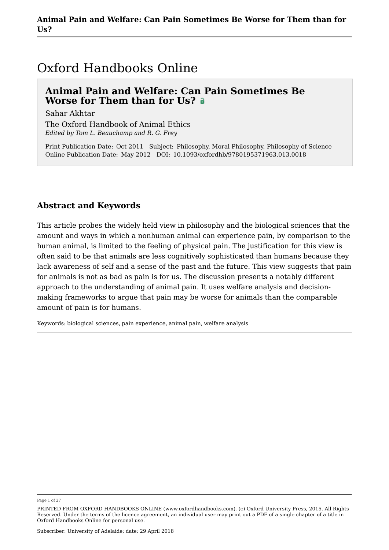### Oxford Handbooks Online

### **Animal Pain and Welfare: Can Pain Sometimes Be Worse for Them than for Us?**

Sahar Akhtar

The Oxford Handbook of Animal Ethics *Edited by Tom L. Beauchamp and R. G. Frey*

Print Publication Date: Oct 2011 Subject: Philosophy, Moral Philosophy, Philosophy of Science Online Publication Date: May 2012 DOI: 10.1093/oxfordhb/9780195371963.013.0018

### **Abstract and Keywords**

This article probes the widely held view in philosophy and the biological sciences that the amount and ways in which a nonhuman animal can experience pain, by comparison to the human animal, is limited to the feeling of physical pain. The justification for this view is often said to be that animals are less cognitively sophisticated than humans because they lack awareness of self and a sense of the past and the future. This view suggests that pain for animals is not as bad as pain is for us. The discussion presents a notably different approach to the understanding of animal pain. It uses welfare analysis and decisionmaking frameworks to argue that pain may be worse for animals than the comparable amount of pain is for humans.

Keywords: biological sciences, pain experience, animal pain, welfare analysis

Page 1 of 27

PRINTED FROM OXFORD HANDBOOKS ONLINE (www.oxfordhandbooks.com). (c) Oxford University Press, 2015. All Rights Reserved. Under the terms of the licence agreement, an individual user may print out a PDF of a single chapter of a title in Oxford Handbooks Online for personal use.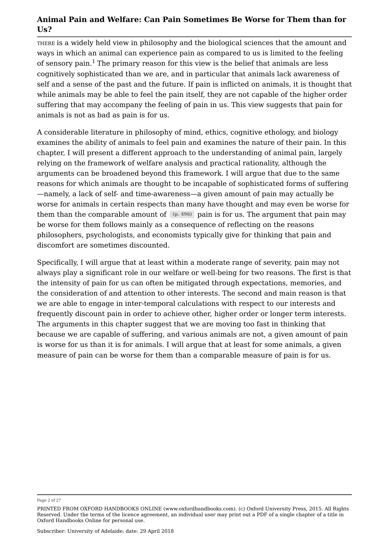THERE is a widely held view in philosophy and the biological sciences that the amount and ways in which an animal can experience pain as compared to us is limited to the feeling of sensory pain. $^{\rm 1}$  The primary reason for this view is the belief that animals are less cognitively sophisticated than we are, and in particular that animals lack awareness of self and a sense of the past and the future. If pain is inflicted on animals, it is thought that while animals may be able to feel the pain itself, they are not capable of the higher order suffering that may accompany the feeling of pain in us. This view suggests that pain for animals is not as bad as pain is for us.

A considerable literature in philosophy of mind, ethics, cognitive ethology, and biology examines the ability of animals to feel pain and examines the nature of their pain. In this chapter, I will present a different approach to the understanding of animal pain, largely relying on the framework of welfare analysis and practical rationality, although the arguments can be broadened beyond this framework. I will argue that due to the same reasons for which animals are thought to be incapable of sophisticated forms of suffering —namely, a lack of self- and time-awareness—a given amount of pain may actually be worse for animals in certain respects than many have thought and may even be worse for them than the comparable amount of  $\left(p. 496\right)$  pain is for us. The argument that pain may be worse for them follows mainly as a consequence of reflecting on the reasons philosophers, psychologists, and economists typically give for thinking that pain and discomfort are sometimes discounted.

Specifically, I will argue that at least within a moderate range of severity, pain may not always play a significant role in our welfare or well-being for two reasons. The first is that the intensity of pain for us can often be mitigated through expectations, memories, and the consideration of and attention to other interests. The second and main reason is that we are able to engage in inter-temporal calculations with respect to our interests and frequently discount pain in order to achieve other, higher order or longer term interests. The arguments in this chapter suggest that we are moving too fast in thinking that because we are capable of suffering, and various animals are not, a given amount of pain is worse for us than it is for animals. I will argue that at least for some animals, a given measure of pain can be worse for them than a comparable measure of pain is for us.

Page 2 of 27

PRINTED FROM OXFORD HANDBOOKS ONLINE (www.oxfordhandbooks.com). (c) Oxford University Press, 2015. All Rights Reserved. Under the terms of the licence agreement, an individual user may print out a PDF of a single chapter of a title in Oxford Handbooks Online for personal use.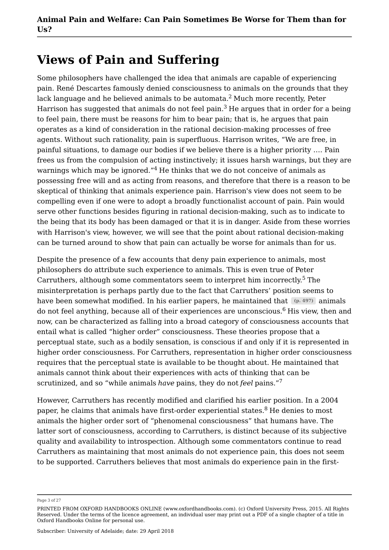## **Views of Pain and Suffering**

Some philosophers have challenged the idea that animals are capable of experiencing pain. René Descartes famously denied consciousness to animals on the grounds that they lack language and he believed animals to be automata. $^2$  Much more recently, Peter  $\,$ Harrison has suggested that animals do not feel pain. $^3$  He argues that in order for a being to feel pain, there must be reasons for him to bear pain; that is, he argues that pain operates as a kind of consideration in the rational decision-making processes of free agents. Without such rationality, pain is superfluous. Harrison writes, "We are free, in painful situations, to damage our bodies if we believe there is a higher priority …. Pain frees us from the compulsion of acting instinctively; it issues harsh warnings, but they are warnings which may be ignored." $^4$  He thinks that we do not conceive of animals as possessing free will and as acting from reasons, and therefore that there is a reason to be skeptical of thinking that animals experience pain. Harrison's view does not seem to be compelling even if one were to adopt a broadly functionalist account of pain. Pain would serve other functions besides figuring in rational decision-making, such as to indicate to the being that its body has been damaged or that it is in danger. Aside from these worries with Harrison's view, however, we will see that the point about rational decision-making can be turned around to show that pain can actually be worse for animals than for us.

Despite the presence of a few accounts that deny pain experience to animals, most philosophers do attribute such experience to animals. This is even true of Peter Carruthers, although some commentators seem to interpret him incorrectly. $^5$  The  $\,$ misinterpretation is perhaps partly due to the fact that Carruthers' position seems to have been somewhat modified. In his earlier papers, he maintained that (p. 497)animals do not feel anything, because all of their experiences are unconscious. $^6$  His view, then and now, can be characterized as falling into a broad category of consciousness accounts that entail what is called "higher order" consciousness. These theories propose that a perceptual state, such as a bodily sensation, is conscious if and only if it is represented in higher order consciousness. For Carruthers, representation in higher order consciousness requires that the perceptual state is available to be thought about. He maintained that animals cannot think about their experiences with acts of thinking that can be scrutinized, and so "while animals *have* pains, they do not *feel* pains." 7

However, Carruthers has recently modified and clarified his earlier position. In a 2004 paper, he claims that animals have first-order experiential states. $^8$  He denies to most animals the higher order sort of "phenomenal consciousness" that humans have. The latter sort of consciousness, according to Carruthers, is distinct because of its subjective quality and availability to introspection. Although some commentators continue to read Carruthers as maintaining that most animals do not experience pain, this does not seem to be supported. Carruthers believes that most animals do experience pain in the first-

Page 3 of 27

PRINTED FROM OXFORD HANDBOOKS ONLINE (www.oxfordhandbooks.com). (c) Oxford University Press, 2015. All Rights Reserved. Under the terms of the licence agreement, an individual user may print out a PDF of a single chapter of a title in Oxford Handbooks Online for personal use.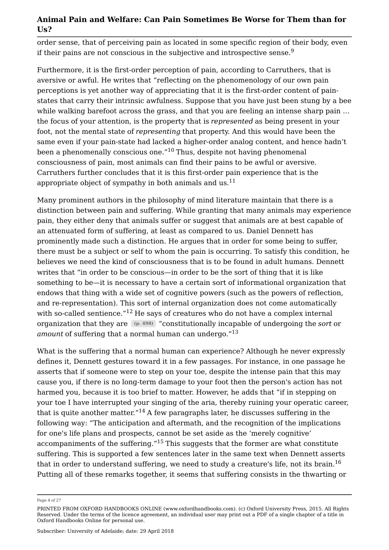order sense, that of perceiving pain as located in some specific region of their body, even if their pains are not conscious in the subjective and introspective sense. $9$ 9

Furthermore, it is the first-order perception of pain, according to Carruthers, that is aversive or awful. He writes that "reflecting on the phenomenology of our own pain perceptions is yet another way of appreciating that it is the first-order content of painstates that carry their intrinsic awfulness. Suppose that you have just been stung by a bee while walking barefoot across the grass, and that you are feeling an intense sharp pain ... the focus of your attention, is the property that is *represented* as being present in your foot, not the mental state of *representing* that property. And this would have been the same even if your pain-state had lacked a higher-order analog content, and hence hadn't been a phenomenally conscious one." $^{10}\,$ Thus, despite not having phenomenal consciousness of pain, most animals can find their pains to be awful or aversive. Carruthers further concludes that it is this first-order pain experience that is the appropriate object of sympathy in both animals and us.<sup>11</sup> 11

Many prominent authors in the philosophy of mind literature maintain that there is a distinction between pain and suffering. While granting that many animals may experience pain, they either deny that animals suffer or suggest that animals are at best capable of an attenuated form of suffering, at least as compared to us. Daniel Dennett has prominently made such a distinction. He argues that in order for some being to suffer, there must be a subject or self to whom the pain is occurring. To satisfy this condition, he believes we need the kind of consciousness that is to be found in adult humans. Dennett writes that "in order to be conscious—in order to be the sort of thing that it is like something to be—it is necessary to have a certain sort of informational organization that endows that thing with a wide set of cognitive powers (such as the powers of reflection, and re-representation). This sort of internal organization does not come automatically with so-called sentience." $^{12}$  He says of creatures who do not have a complex internal organization that they are  $[\Phi, 498]$  "constitutionally incapable of undergoing the *sort* or *amount* of suffering that a normal human can undergo."<sup>13</sup> 13

What is the suffering that a normal human can experience? Although he never expressly defines it, Dennett gestures toward it in a few passages. For instance, in one passage he asserts that if someone were to step on your toe, despite the intense pain that this may cause you, if there is no long-term damage to your foot then the person's action has not harmed you, because it is too brief to matter. However, he adds that "if in stepping on your toe I have interrupted your singing of the aria, thereby ruining your operatic career, that is quite another matter." $^{14}$  A few paragraphs later, he discusses suffering in the following way: "The anticipation and aftermath, and the recognition of the implications for one's life plans and prospects, cannot be set aside as the 'merely cognitive' accompaniments of the suffering." $^{15}$  This suggests that the former are what constitute suffering. This is supported a few sentences later in the same text when Dennett asserts that in order to understand suffering, we need to study a creature's life, not its brain. $^{16}$ Putting all of these remarks together, it seems that suffering consists in the thwarting or

Page 4 of 27

PRINTED FROM OXFORD HANDBOOKS ONLINE (www.oxfordhandbooks.com). (c) Oxford University Press, 2015. All Rights Reserved. Under the terms of the licence agreement, an individual user may print out a PDF of a single chapter of a title in Oxford Handbooks Online for personal use.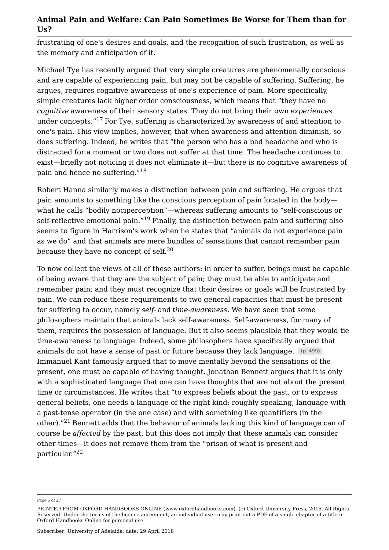frustrating of one's desires and goals, and the recognition of such frustration, as well as the memory and anticipation of it.

Michael Tye has recently argued that very simple creatures are phenomenally conscious and are capable of experiencing pain, but may not be capable of suffering. Suffering, he argues, requires cognitive awareness of one's experience of pain. More specifically, simple creatures lack higher order consciousness, which means that "they have no *cognitive* awareness of their sensory states. They do not bring their own *experiences* under concepts."<sup>17</sup> For Tye, suffering is characterized by awareness of and attention to one's pain. This view implies, however, that when awareness and attention diminish, so does suffering. Indeed, he writes that "the person who has a bad headache and who is distracted for a moment or two does not suffer at that time. The headache continues to exist—briefly not noticing it does not eliminate it—but there is no cognitive awareness of pain and hence no suffering."<sup>18</sup> 18

Robert Hanna similarly makes a distinction between pain and suffering. He argues that pain amounts to something like the conscious perception of pain located in the body what he calls "bodily nociperception"—whereas suffering amounts to "self-conscious or self-reflective emotional pain."<sup>19</sup> Finally, the distinction between pain and suffering also seems to figure in Harrison's work when he states that "animals do not experience pain as we do" and that animals are mere bundles of sensations that cannot remember pain because they have no concept of self. 20

To now collect the views of all of these authors: in order to suffer, beings must be capable of being aware that they are the subject of pain; they must be able to anticipate and remember pain; and they must recognize that their desires or goals will be frustrated by pain. We can reduce these requirements to two general capacities that must be present for suffering to occur, namely *self-* and *time-awareness*. We have seen that some philosophers maintain that animals lack self-awareness. Self-awareness, for many of them, requires the possession of language. But it also seems plausible that they would tie time-awareness to language. Indeed, some philosophers have specifically argued that animals do not have a sense of past or future because they lack language. **(p. 499)** Immanuel Kant famously argued that to move mentally beyond the sensations of the present, one must be capable of having thought. Jonathan Bennett argues that it is only with a sophisticated language that one can have thoughts that are not about the present time or circumstances. He writes that "to express beliefs about the past, or to express general beliefs, one needs a language of the right kind: roughly speaking, language with a past-tense operator (in the one case) and with something like quantifiers (in the other)."<sup>21</sup> Bennett adds that the behavior of animals lacking this kind of language can of course be *affected* by the past, but this does not imply that these animals can consider other times—it does not remove them from the "prison of what is present and particular." 22

Page 5 of 27

PRINTED FROM OXFORD HANDBOOKS ONLINE (www.oxfordhandbooks.com). (c) Oxford University Press, 2015. All Rights Reserved. Under the terms of the licence agreement, an individual user may print out a PDF of a single chapter of a title in Oxford Handbooks Online for personal use.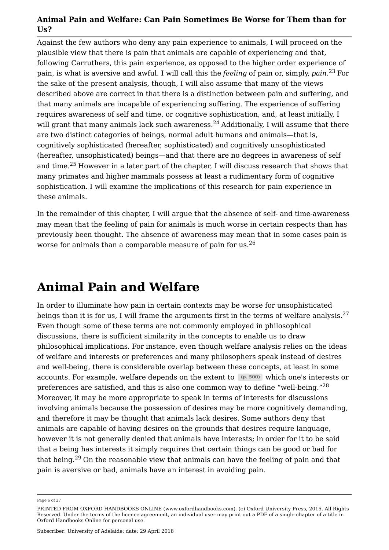Against the few authors who deny any pain experience to animals, I will proceed on the plausible view that there is pain that animals are capable of experiencing and that, following Carruthers, this pain experience, as opposed to the higher order experience of pain, is what is aversive and awful. I will call this the *feeling* of pain or, simply, *pain*.<sup>23</sup> For the sake of the present analysis, though, I will also assume that many of the views described above are correct in that there is a distinction between pain and suffering, and that many animals are incapable of experiencing suffering. The experience of suffering requires awareness of self and time, or cognitive sophistication, and, at least initially, I will grant that many animals lack such awareness. $^{24}$  Additionally, I will assume that there are two distinct categories of beings, normal adult humans and animals—that is, cognitively sophisticated (hereafter, sophisticated) and cognitively unsophisticated (hereafter, unsophisticated) beings—and that there are no degrees in awareness of self and time. $^{25}$  However in a later part of the chapter, I will discuss research that shows that many primates and higher mammals possess at least a rudimentary form of cognitive sophistication. I will examine the implications of this research for pain experience in these animals.

In the remainder of this chapter, I will argue that the absence of self- and time-awareness may mean that the feeling of pain for animals is much worse in certain respects than has previously been thought. The absence of awareness may mean that in some cases pain is worse for animals than a comparable measure of pain for us.<sup>26</sup> 26

## **Animal Pain and Welfare**

In order to illuminate how pain in certain contexts may be worse for unsophisticated beings than it is for us, I will frame the arguments first in the terms of welfare analysis.<sup>27</sup> Even though some of these terms are not commonly employed in philosophical discussions, there is sufficient similarity in the concepts to enable us to draw philosophical implications. For instance, even though welfare analysis relies on the ideas of welfare and interests or preferences and many philosophers speak instead of desires and well-being, there is considerable overlap between these concepts, at least in some accounts. For example, welfare depends on the extent to which one's interests or preferences are satisfied, and this is also one common way to define "well-being."<sup>28</sup> Moreover, it may be more appropriate to speak in terms of interests for discussions involving animals because the possession of desires may be more cognitively demanding, and therefore it may be thought that animals lack desires. Some authors deny that animals are capable of having desires on the grounds that desires require language, however it is not generally denied that animals have interests; in order for it to be said that a being has interests it simply requires that certain things can be good or bad for that being. $^{29}$  On the reasonable view that animals can have the feeling of pain and that pain is aversive or bad, animals have an interest in avoiding pain. 27 28

Page 6 of 27

PRINTED FROM OXFORD HANDBOOKS ONLINE (www.oxfordhandbooks.com). (c) Oxford University Press, 2015. All Rights Reserved. Under the terms of the licence agreement, an individual user may print out a PDF of a single chapter of a title in Oxford Handbooks Online for personal use.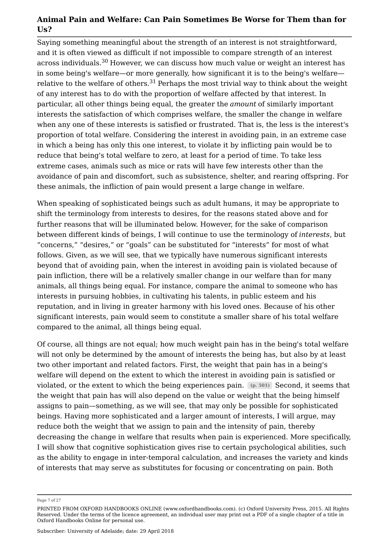Saying something meaningful about the strength of an interest is not straightforward, and it is often viewed as difficult if not impossible to compare strength of an interest across individuals. $^{30}$  However, we can discuss how much value or weight an interest has in some being's welfare—or more generally, how significant it is to the being's welfare relative to the welfare of others. $^{31}$  Perhaps the most trivial way to think about the weight of any interest has to do with the proportion of welfare affected by that interest. In particular, all other things being equal, the greater the *amount* of similarly important interests the satisfaction of which comprises welfare, the smaller the change in welfare when any one of these interests is satisfied or frustrated. That is, the less is the interest's proportion of total welfare. Considering the interest in avoiding pain, in an extreme case in which a being has only this one interest, to violate it by inflicting pain would be to reduce that being's total welfare to zero, at least for a period of time. To take less extreme cases, animals such as mice or rats will have few interests other than the avoidance of pain and discomfort, such as subsistence, shelter, and rearing offspring. For these animals, the infliction of pain would present a large change in welfare.

When speaking of sophisticated beings such as adult humans, it may be appropriate to shift the terminology from interests to desires, for the reasons stated above and for further reasons that will be illuminated below. However, for the sake of comparison between different kinds of beings, I will continue to use the terminology of *interests*, but "concerns," "desires," or "goals" can be substituted for "interests" for most of what follows. Given, as we will see, that we typically have numerous significant interests beyond that of avoiding pain, when the interest in avoiding pain is violated because of pain infliction, there will be a relatively smaller change in our welfare than for many animals, all things being equal. For instance, compare the animal to someone who has interests in pursuing hobbies, in cultivating his talents, in public esteem and his reputation, and in living in greater harmony with his loved ones. Because of his other significant interests, pain would seem to constitute a smaller share of his total welfare compared to the animal, all things being equal.

Of course, all things are not equal; how much weight pain has in the being's total welfare will not only be determined by the amount of interests the being has, but also by at least two other important and related factors. First, the weight that pain has in a being's welfare will depend on the extent to which the interest in avoiding pain is satisfied or violated, or the extent to which the being experiences pain.  $(p. 501)$  Second, it seems that the weight that pain has will also depend on the value or weight that the being himself assigns to pain—something, as we will see, that may only be possible for sophisticated beings. Having more sophisticated and a larger amount of interests, I will argue, may reduce both the weight that we assign to pain and the intensity of pain, thereby decreasing the change in welfare that results when pain is experienced. More specifically, I will show that cognitive sophistication gives rise to certain psychological abilities, such as the ability to engage in inter-temporal calculation, and increases the variety and kinds of interests that may serve as substitutes for focusing or concentrating on pain. Both

Page 7 of 27

PRINTED FROM OXFORD HANDBOOKS ONLINE (www.oxfordhandbooks.com). (c) Oxford University Press, 2015. All Rights Reserved. Under the terms of the licence agreement, an individual user may print out a PDF of a single chapter of a title in Oxford Handbooks Online for personal use.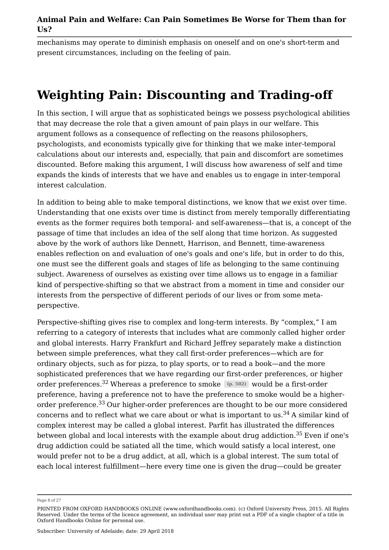mechanisms may operate to diminish emphasis on oneself and on one's short-term and present circumstances, including on the feeling of pain.

# **Weighting Pain: Discounting and Trading-off**

In this section, I will argue that as sophisticated beings we possess psychological abilities that may decrease the role that a given amount of pain plays in our welfare. This argument follows as a consequence of reflecting on the reasons philosophers, psychologists, and economists typically give for thinking that we make inter-temporal calculations about our interests and, especially, that pain and discomfort are sometimes discounted. Before making this argument, I will discuss how awareness of self and time expands the kinds of interests that we have and enables us to engage in inter-temporal interest calculation.

In addition to being able to make temporal distinctions, we know that *we* exist over time. Understanding that one exists over time is distinct from merely temporally differentiating events as the former requires both temporal- and self-awareness—that is, a concept of the passage of time that includes an idea of the self along that time horizon. As suggested above by the work of authors like Dennett, Harrison, and Bennett, time-awareness enables reflection on and evaluation of one's goals and one's life, but in order to do this, one must see the different goals and stages of life as belonging to the same continuing subject. Awareness of ourselves as existing over time allows us to engage in a familiar kind of perspective-shifting so that we abstract from a moment in time and consider our interests from the perspective of different periods of our lives or from some metaperspective.

Perspective-shifting gives rise to complex and long-term interests. By "complex," I am referring to a category of interests that includes what are commonly called higher order and global interests. Harry Frankfurt and Richard Jeffrey separately make a distinction between simple preferences, what they call first-order preferences—which are for ordinary objects, such as for pizza, to play sports, or to read a book—and the more sophisticated preferences that we have regarding our first-order preferences, or higher order preferences.<sup>32</sup> Whereas a preference to smoke (p. 502) would be a first-order preference, having a preference not to have the preference to smoke would be a higherorder preference.<sup>33</sup> Our higher-order preferences are thought to be our more considered concerns and to reflect what we care about or what is important to us. $^{34}$  A similar kind of complex interest may be called a global interest. Parfit has illustrated the differences between global and local interests with the example about drug addiction.<sup>35</sup> Even if one's drug addiction could be satiated all the time, which would satisfy a local interest, one would prefer not to be a drug addict, at all, which is a global interest. The sum total of each local interest fulfillment—here every time one is given the drug—could be greater

Page 8 of 27

PRINTED FROM OXFORD HANDBOOKS ONLINE (www.oxfordhandbooks.com). (c) Oxford University Press, 2015. All Rights Reserved. Under the terms of the licence agreement, an individual user may print out a PDF of a single chapter of a title in Oxford Handbooks Online for personal use.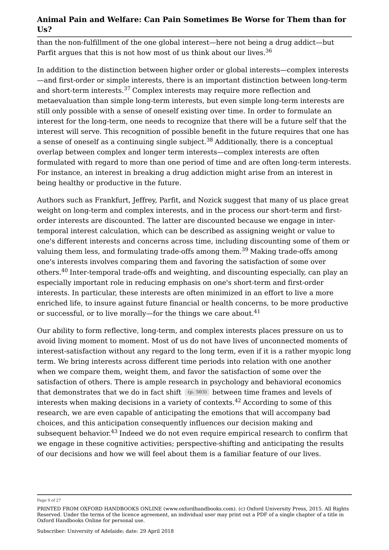than the non-fulfillment of the one global interest—here not being a drug addict—but Parfit argues that this is not how most of us think about our lives.  $36$ 36

In addition to the distinction between higher order or global interests—complex interests —and first-order or simple interests, there is an important distinction between long-term and short-term interests. $\rm ^{37}$  Complex interests may require more reflection and metaevaluation than simple long-term interests, but even simple long-term interests are still only possible with a sense of oneself existing over time. In order to formulate an interest for the long-term, one needs to recognize that there will be a future self that the interest will serve. This recognition of possible benefit in the future requires that one has a sense of oneself as a continuing single subject.<sup>38</sup> Additionally, there is a conceptual overlap between complex and longer term interests—complex interests are often formulated with regard to more than one period of time and are often long-term interests. For instance, an interest in breaking a drug addiction might arise from an interest in being healthy or productive in the future.

Authors such as Frankfurt, Jeffrey, Parfit, and Nozick suggest that many of us place great weight on long-term and complex interests, and in the process our short-term and firstorder interests are discounted. The latter are discounted because we engage in intertemporal interest calculation, which can be described as assigning weight or value to one's different interests and concerns across time, including discounting some of them or valuing them less, and formulating trade-offs among them.<sup>39</sup> Making trade-offs among one's interests involves comparing them and favoring the satisfaction of some over others.<sup>40</sup> Inter-temporal trade-offs and weighting, and discounting especially, can play an especially important role in reducing emphasis on one's short-term and first-order interests. In particular, these interests are often minimized in an effort to live a more enriched life, to insure against future financial or health concerns, to be more productive or successful, or to live morally—for the things we care about.<sup>41</sup> 41

Our ability to form reflective, long-term, and complex interests places pressure on us to avoid living moment to moment. Most of us do not have lives of unconnected moments of interest-satisfaction without any regard to the long term, even if it is a rather myopic long term. We bring interests across different time periods into relation with one another when we compare them, weight them, and favor the satisfaction of some over the satisfaction of others. There is ample research in psychology and behavioral economics that demonstrates that we do in fact shift  $\left( p. \ 503 \right)$  between time frames and levels of interests when making decisions in a variety of contexts. $^{42}$  According to some of this research, we are even capable of anticipating the emotions that will accompany bad choices, and this anticipation consequently influences our decision making and subsequent behavior.<sup>43</sup> Indeed we do not even require empirical research to confirm that we engage in these cognitive activities; perspective-shifting and anticipating the results of our decisions and how we will feel about them is a familiar feature of our lives.

Page 9 of 27

PRINTED FROM OXFORD HANDBOOKS ONLINE (www.oxfordhandbooks.com). (c) Oxford University Press, 2015. All Rights Reserved. Under the terms of the licence agreement, an individual user may print out a PDF of a single chapter of a title in Oxford Handbooks Online for personal use.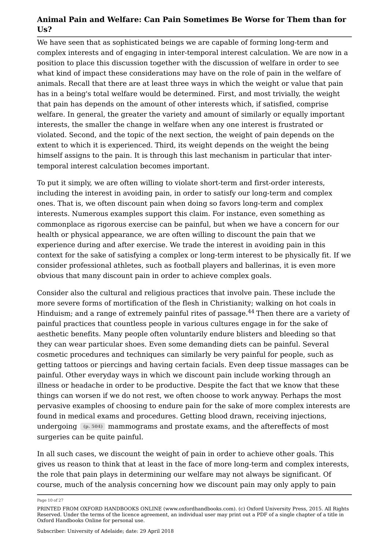We have seen that as sophisticated beings we are capable of forming long-term and complex interests and of engaging in inter-temporal interest calculation. We are now in a position to place this discussion together with the discussion of welfare in order to see what kind of impact these considerations may have on the role of pain in the welfare of animals. Recall that there are at least three ways in which the weight or value that pain has in a being's total welfare would be determined. First, and most trivially, the weight that pain has depends on the amount of other interests which, if satisfied, comprise welfare. In general, the greater the variety and amount of similarly or equally important interests, the smaller the change in welfare when any one interest is frustrated or violated. Second, and the topic of the next section, the weight of pain depends on the extent to which it is experienced. Third, its weight depends on the weight the being himself assigns to the pain. It is through this last mechanism in particular that intertemporal interest calculation becomes important.

To put it simply, we are often willing to violate short-term and first-order interests, including the interest in avoiding pain, in order to satisfy our long-term and complex ones. That is, we often discount pain when doing so favors long-term and complex interests. Numerous examples support this claim. For instance, even something as commonplace as rigorous exercise can be painful, but when we have a concern for our health or physical appearance, we are often willing to discount the pain that we experience during and after exercise. We trade the interest in avoiding pain in this context for the sake of satisfying a complex or long-term interest to be physically fit. If we consider professional athletes, such as football players and ballerinas, it is even more obvious that many discount pain in order to achieve complex goals.

Consider also the cultural and religious practices that involve pain. These include the more severe forms of mortification of the flesh in Christianity; walking on hot coals in Hinduism; and a range of extremely painful rites of passage.<sup>44</sup> Then there are a variety of painful practices that countless people in various cultures engage in for the sake of aesthetic benefits. Many people often voluntarily endure blisters and bleeding so that they can wear particular shoes. Even some demanding diets can be painful. Several cosmetic procedures and techniques can similarly be very painful for people, such as getting tattoos or piercings and having certain facials. Even deep tissue massages can be painful. Other everyday ways in which we discount pain include working through an illness or headache in order to be productive. Despite the fact that we know that these things can worsen if we do not rest, we often choose to work anyway. Perhaps the most pervasive examples of choosing to endure pain for the sake of more complex interests are found in medical exams and procedures. Getting blood drawn, receiving injections, undergoing (p. 504) mammograms and prostate exams, and the aftereffects of most surgeries can be quite painful.

In all such cases, we discount the weight of pain in order to achieve other goals. This gives us reason to think that at least in the face of more long-term and complex interests, the role that pain plays in determining our welfare may not always be significant. Of course, much of the analysis concerning how we discount pain may only apply to pain

Page 10 of 27

PRINTED FROM OXFORD HANDBOOKS ONLINE (www.oxfordhandbooks.com). (c) Oxford University Press, 2015. All Rights Reserved. Under the terms of the licence agreement, an individual user may print out a PDF of a single chapter of a title in Oxford Handbooks Online for personal use.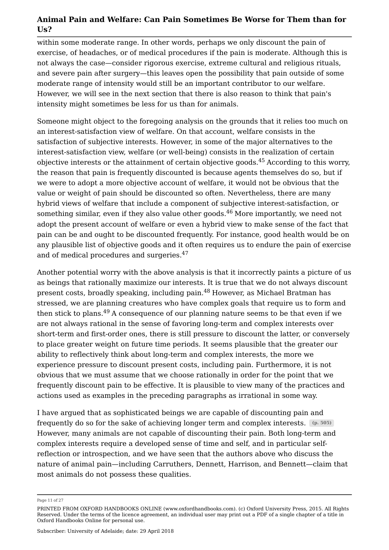within some moderate range. In other words, perhaps we only discount the pain of exercise, of headaches, or of medical procedures if the pain is moderate. Although this is not always the case—consider rigorous exercise, extreme cultural and religious rituals, and severe pain after surgery—this leaves open the possibility that pain outside of some moderate range of intensity would still be an important contributor to our welfare. However, we will see in the next section that there is also reason to think that pain's intensity might sometimes be less for us than for animals.

Someone might object to the foregoing analysis on the grounds that it relies too much on an interest-satisfaction view of welfare. On that account, welfare consists in the satisfaction of subjective interests. However, in some of the major alternatives to the interest-satisfaction view, welfare (or well-being) consists in the realization of certain objective interests or the attainment of certain objective goods.<sup>45</sup> According to this worry, the reason that pain is frequently discounted is because agents themselves do so, but if we were to adopt a more objective account of welfare, it would not be obvious that the value or weight of pain should be discounted so often. Nevertheless, there are many hybrid views of welfare that include a component of subjective interest-satisfaction, or something similar, even if they also value other goods. $^{46}$  More importantly, we need not adopt the present account of welfare or even a hybrid view to make sense of the fact that pain can be and ought to be discounted frequently. For instance, good health would be on any plausible list of objective goods and it often requires us to endure the pain of exercise and of medical procedures and surgeries. 47

Another potential worry with the above analysis is that it incorrectly paints a picture of us as beings that rationally maximize our interests. It is true that we do not always discount present costs, broadly speaking, including pain.<sup>48</sup> However, as Michael Bratman has stressed, we are planning creatures who have complex goals that require us to form and then stick to plans. $^{49}$  A consequence of our planning nature seems to be that even if we are not always rational in the sense of favoring long-term and complex interests over short-term and first-order ones, there is still pressure to discount the latter, or conversely to place greater weight on future time periods. It seems plausible that the greater our ability to reflectively think about long-term and complex interests, the more we experience pressure to discount present costs, including pain. Furthermore, it is not obvious that we must assume that we choose rationally in order for the point that we frequently discount pain to be effective. It is plausible to view many of the practices and actions used as examples in the preceding paragraphs as irrational in some way.

I have argued that as sophisticated beings we are capable of discounting pain and frequently do so for the sake of achieving longer term and complex interests. **(p. 505)** However, many animals are not capable of discounting their pain. Both long-term and complex interests require a developed sense of time and self, and in particular selfreflection or introspection, and we have seen that the authors above who discuss the nature of animal pain—including Carruthers, Dennett, Harrison, and Bennett—claim that most animals do not possess these qualities.

Page 11 of 27

PRINTED FROM OXFORD HANDBOOKS ONLINE (www.oxfordhandbooks.com). (c) Oxford University Press, 2015. All Rights Reserved. Under the terms of the licence agreement, an individual user may print out a PDF of a single chapter of a title in Oxford Handbooks Online for personal use.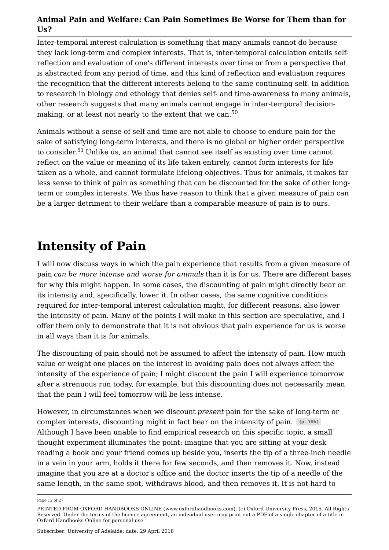Inter-temporal interest calculation is something that many animals cannot do because they lack long-term and complex interests. That is, inter-temporal calculation entails selfreflection and evaluation of one's different interests over time or from a perspective that is abstracted from any period of time, and this kind of reflection and evaluation requires the recognition that the different interests belong to the same continuing self. In addition to research in biology and ethology that denies self- and time-awareness to many animals, other research suggests that many animals cannot engage in inter-temporal decisionmaking, or at least not nearly to the extent that we can.<sup>50</sup> 50

Animals without a sense of self and time are not able to choose to endure pain for the sake of satisfying long-term interests, and there is no global or higher order perspective to consider.<sup>51</sup> Unlike us, an animal that cannot see itself as existing over time cannot reflect on the value or meaning of its life taken entirely, cannot form interests for life taken as a whole, and cannot formulate lifelong objectives. Thus for animals, it makes far less sense to think of pain as something that can be discounted for the sake of other longterm or complex interests. We thus have reason to think that a given measure of pain can be a larger detriment to their welfare than a comparable measure of pain is to ours.

## **Intensity of Pain**

I will now discuss ways in which the pain experience that results from a given measure of pain *can be more intense and worse for animals* than it is for us. There are different bases for why this might happen. In some cases, the discounting of pain might directly bear on its intensity and, specifically, lower it. In other cases, the same cognitive conditions required for inter-temporal interest calculation might, for different reasons, also lower the intensity of pain. Many of the points I will make in this section are speculative, and I offer them only to demonstrate that it is not obvious that pain experience for us is worse in all ways than it is for animals.

The discounting of pain should not be assumed to affect the intensity of pain. How much value or weight one places on the interest in avoiding pain does not always affect the intensity of the experience of pain; I might discount the pain I will experience tomorrow after a strenuous run today, for example, but this discounting does not necessarily mean that the pain I will feel tomorrow will be less intense.

However, in circumstances when we discount *present* pain for the sake of long-term or complex interests, discounting might in fact bear on the intensity of pain. **(p. 506)** Although I have been unable to find empirical research on this specific topic, a small thought experiment illuminates the point: imagine that you are sitting at your desk reading a book and your friend comes up beside you, inserts the tip of a three-inch needle in a vein in your arm, holds it there for few seconds, and then removes it. Now, instead imagine that you are at a doctor's office and the doctor inserts the tip of a needle of the same length, in the same spot, withdraws blood, and then removes it. It is not hard to

Page 12 of 27

PRINTED FROM OXFORD HANDBOOKS ONLINE (www.oxfordhandbooks.com). (c) Oxford University Press, 2015. All Rights Reserved. Under the terms of the licence agreement, an individual user may print out a PDF of a single chapter of a title in Oxford Handbooks Online for personal use.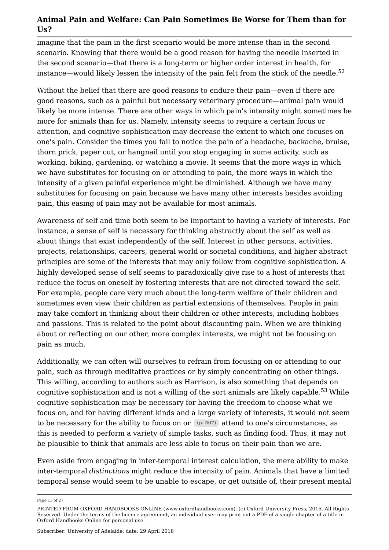imagine that the pain in the first scenario would be more intense than in the second scenario. Knowing that there would be a good reason for having the needle inserted in the second scenario—that there is a long-term or higher order interest in health, for instance—would likely lessen the intensity of the pain felt from the stick of the needle. 52

Without the belief that there are good reasons to endure their pain—even if there are good reasons, such as a painful but necessary veterinary procedure—animal pain would likely be more intense. There are other ways in which pain's intensity might sometimes be more for animals than for us. Namely, intensity seems to require a certain focus or attention, and cognitive sophistication may decrease the extent to which one focuses on one's pain. Consider the times you fail to notice the pain of a headache, backache, bruise, thorn prick, paper cut, or hangnail until you stop engaging in some activity, such as working, biking, gardening, or watching a movie. It seems that the more ways in which we have substitutes for focusing on or attending to pain, the more ways in which the intensity of a given painful experience might be diminished. Although we have many substitutes for focusing on pain because we have many other interests besides avoiding pain, this easing of pain may not be available for most animals.

Awareness of self and time both seem to be important to having a variety of interests. For instance, a sense of self is necessary for thinking abstractly about the self as well as about things that exist independently of the self. Interest in other persons, activities, projects, relationships, careers, general world or societal conditions, and higher abstract principles are some of the interests that may only follow from cognitive sophistication. A highly developed sense of self seems to paradoxically give rise to a host of interests that reduce the focus on oneself by fostering interests that are not directed toward the self. For example, people care very much about the long-term welfare of their children and sometimes even view their children as partial extensions of themselves. People in pain may take comfort in thinking about their children or other interests, including hobbies and passions. This is related to the point about discounting pain. When we are thinking about or reflecting on our other, more complex interests, we might not be focusing on pain as much.

Additionally, we can often will ourselves to refrain from focusing on or attending to our pain, such as through meditative practices or by simply concentrating on other things. This willing, according to authors such as Harrison, is also something that depends on cognitive sophistication and is not a willing of the sort animals are likely capable.<sup>53</sup> While cognitive sophistication may be necessary for having the freedom to choose what we focus on, and for having different kinds and a large variety of interests, it would not seem to be necessary for the ability to focus on or  $\left(\phi, 507\right)$  attend to one's circumstances, as this is needed to perform a variety of simple tasks, such as finding food. Thus, it may not be plausible to think that animals are less able to focus on their pain than we are.

Even aside from engaging in inter-temporal interest calculation, the mere ability to make inter-temporal *distinctions* might reduce the intensity of pain. Animals that have a limited temporal sense would seem to be unable to escape, or get outside of, their present mental

Page 13 of 27

PRINTED FROM OXFORD HANDBOOKS ONLINE (www.oxfordhandbooks.com). (c) Oxford University Press, 2015. All Rights Reserved. Under the terms of the licence agreement, an individual user may print out a PDF of a single chapter of a title in Oxford Handbooks Online for personal use.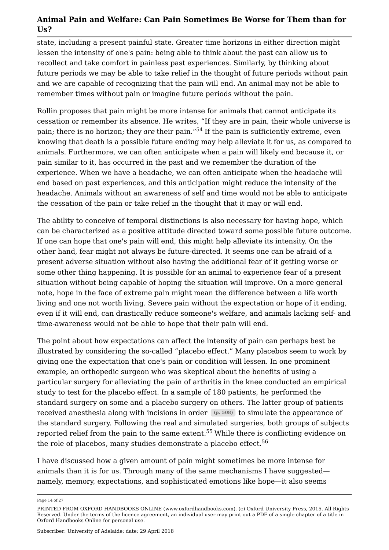state, including a present painful state. Greater time horizons in either direction might lessen the intensity of one's pain: being able to think about the past can allow us to recollect and take comfort in painless past experiences. Similarly, by thinking about future periods we may be able to take relief in the thought of future periods without pain and we are capable of recognizing that the pain will end. An animal may not be able to remember times without pain or imagine future periods without the pain.

Rollin proposes that pain might be more intense for animals that cannot anticipate its cessation or remember its absence. He writes, "If they are in pain, their whole universe is pain; there is no horizon; they *are* their pain."<sup>54</sup> If the pain is sufficiently extreme, even knowing that death is a possible future ending may help alleviate it for us, as compared to animals. Furthermore, we can often anticipate when a pain will likely end because it, or pain similar to it, has occurred in the past and we remember the duration of the experience. When we have a headache, we can often anticipate when the headache will end based on past experiences, and this anticipation might reduce the intensity of the headache. Animals without an awareness of self and time would not be able to anticipate the cessation of the pain or take relief in the thought that it may or will end.

The ability to conceive of temporal distinctions is also necessary for having hope, which can be characterized as a positive attitude directed toward some possible future outcome. If one can hope that one's pain will end, this might help alleviate its intensity. On the other hand, fear might not always be future-directed. It seems one can be afraid of a present adverse situation without also having the additional fear of it getting worse or some other thing happening. It is possible for an animal to experience fear of a present situation without being capable of hoping the situation will improve. On a more general note, hope in the face of extreme pain might mean the difference between a life worth living and one not worth living. Severe pain without the expectation or hope of it ending, even if it will end, can drastically reduce someone's welfare, and animals lacking self- and time-awareness would not be able to hope that their pain will end.

The point about how expectations can affect the intensity of pain can perhaps best be illustrated by considering the so-called "placebo effect." Many placebos seem to work by giving one the expectation that one's pain or condition will lessen. In one prominent example, an orthopedic surgeon who was skeptical about the benefits of using a particular surgery for alleviating the pain of arthritis in the knee conducted an empirical study to test for the placebo effect. In a sample of 180 patients, he performed the standard surgery on some and a placebo surgery on others. The latter group of patients received anesthesia along with incisions in order (p. 508) to simulate the appearance of the standard surgery. Following the real and simulated surgeries, both groups of subjects reported relief from the pain to the same extent.<sup>55</sup> While there is conflicting evidence on the role of placebos, many studies demonstrate a placebo effect. $^{56}$ 

I have discussed how a given amount of pain might sometimes be more intense for animals than it is for us. Through many of the same mechanisms I have suggested namely, memory, expectations, and sophisticated emotions like hope—it also seems

Page 14 of 27

PRINTED FROM OXFORD HANDBOOKS ONLINE (www.oxfordhandbooks.com). (c) Oxford University Press, 2015. All Rights Reserved. Under the terms of the licence agreement, an individual user may print out a PDF of a single chapter of a title in Oxford Handbooks Online for personal use.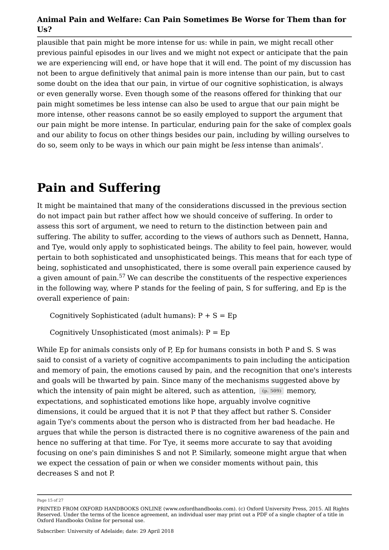plausible that pain might be more intense for us: while in pain, we might recall other previous painful episodes in our lives and we might not expect or anticipate that the pain we are experiencing will end, or have hope that it will end. The point of my discussion has not been to argue definitively that animal pain is more intense than our pain, but to cast some doubt on the idea that our pain, in virtue of our cognitive sophistication, is always or even generally worse. Even though some of the reasons offered for thinking that our pain might sometimes be less intense can also be used to argue that our pain might be more intense, other reasons cannot be so easily employed to support the argument that our pain might be more intense. In particular, enduring pain for the sake of complex goals and our ability to focus on other things besides our pain, including by willing ourselves to do so, seem only to be ways in which our pain might be *less* intense than animals'.

## **Pain and Suffering**

It might be maintained that many of the considerations discussed in the previous section do not impact pain but rather affect how we should conceive of suffering. In order to assess this sort of argument, we need to return to the distinction between pain and suffering. The ability to suffer, according to the views of authors such as Dennett, Hanna, and Tye, would only apply to sophisticated beings. The ability to feel pain, however, would pertain to both sophisticated and unsophisticated beings. This means that for each type of being, sophisticated and unsophisticated, there is some overall pain experience caused by a given amount of pain.<sup>57</sup> We can describe the constituents of the respective experiences in the following way, where P stands for the feeling of pain, S for suffering, and Ep is the overall experience of pain:

Cognitively Sophisticated (adult humans):  $P + S = Ep$ 

Cognitively Unsophisticated (most animals):  $P = Ep$ 

While Ep for animals consists only of P, Ep for humans consists in both P and S. S was said to consist of a variety of cognitive accompaniments to pain including the anticipation and memory of pain, the emotions caused by pain, and the recognition that one's interests and goals will be thwarted by pain. Since many of the mechanisms suggested above by which the intensity of pain might be altered, such as attention, Mex 509) memory, expectations, and sophisticated emotions like hope, arguably involve cognitive dimensions, it could be argued that it is not P that they affect but rather S. Consider again Tye's comments about the person who is distracted from her bad headache. He argues that while the person is distracted there is no cognitive awareness of the pain and hence no suffering at that time. For Tye, it seems more accurate to say that avoiding focusing on one's pain diminishes S and not P. Similarly, someone might argue that when we expect the cessation of pain or when we consider moments without pain, this decreases S and not P.

Page 15 of 27

PRINTED FROM OXFORD HANDBOOKS ONLINE (www.oxfordhandbooks.com). (c) Oxford University Press, 2015. All Rights Reserved. Under the terms of the licence agreement, an individual user may print out a PDF of a single chapter of a title in Oxford Handbooks Online for personal use.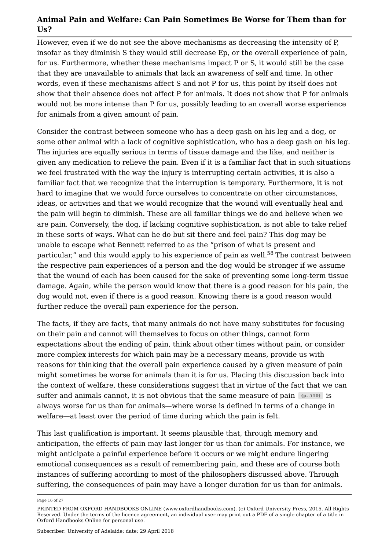However, even if we do not see the above mechanisms as decreasing the intensity of P, insofar as they diminish S they would still decrease Ep, or the overall experience of pain, for us. Furthermore, whether these mechanisms impact P or S, it would still be the case that they are unavailable to animals that lack an awareness of self and time. In other words, even if these mechanisms affect S and not P for us, this point by itself does not show that their absence does not affect P for animals. It does not show that P for animals would not be more intense than P for us, possibly leading to an overall worse experience for animals from a given amount of pain.

Consider the contrast between someone who has a deep gash on his leg and a dog, or some other animal with a lack of cognitive sophistication, who has a deep gash on his leg. The injuries are equally serious in terms of tissue damage and the like, and neither is given any medication to relieve the pain. Even if it is a familiar fact that in such situations we feel frustrated with the way the injury is interrupting certain activities, it is also a familiar fact that we recognize that the interruption is temporary. Furthermore, it is not hard to imagine that we would force ourselves to concentrate on other circumstances, ideas, or activities and that we would recognize that the wound will eventually heal and the pain will begin to diminish. These are all familiar things we do and believe when we are pain. Conversely, the dog, if lacking cognitive sophistication, is not able to take relief in these sorts of ways. What can he do but sit there and feel pain? This dog may be unable to escape what Bennett referred to as the "prison of what is present and particular," and this would apply to his experience of pain as well.<sup>58</sup> The contrast between the respective pain experiences of a person and the dog would be stronger if we assume that the wound of each has been caused for the sake of preventing some long-term tissue damage. Again, while the person would know that there is a good reason for his pain, the dog would not, even if there is a good reason. Knowing there is a good reason would further reduce the overall pain experience for the person.

The facts, if they are facts, that many animals do not have many substitutes for focusing on their pain and cannot will themselves to focus on other things, cannot form expectations about the ending of pain, think about other times without pain, or consider more complex interests for which pain may be a necessary means, provide us with reasons for thinking that the overall pain experience caused by a given measure of pain might sometimes be worse for animals than it is for us. Placing this discussion back into the context of welfare, these considerations suggest that in virtue of the fact that we can suffer and animals cannot, it is not obvious that the same measure of pain in  $(p. 510)$  is always worse for us than for animals—where worse is defined in terms of a change in welfare—at least over the period of time during which the pain is felt.

This last qualification is important. It seems plausible that, through memory and anticipation, the effects of pain may last longer for us than for animals. For instance, we might anticipate a painful experience before it occurs or we might endure lingering emotional consequences as a result of remembering pain, and these are of course both instances of suffering according to most of the philosophers discussed above. Through suffering, the consequences of pain may have a longer duration for us than for animals.

Page 16 of 27

PRINTED FROM OXFORD HANDBOOKS ONLINE (www.oxfordhandbooks.com). (c) Oxford University Press, 2015. All Rights Reserved. Under the terms of the licence agreement, an individual user may print out a PDF of a single chapter of a title in Oxford Handbooks Online for personal use.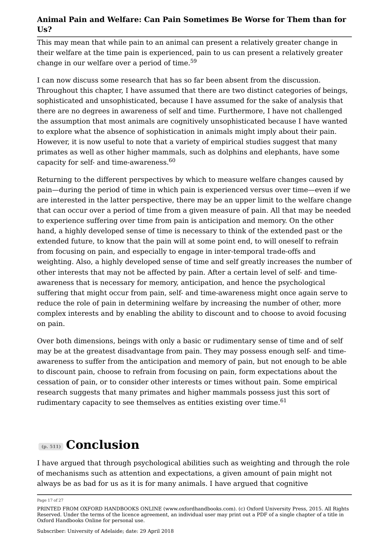This may mean that while pain to an animal can present a relatively greater change in their welfare at the time pain is experienced, pain to us can present a relatively greater change in our welfare over a period of time.<sup>59</sup> 59

I can now discuss some research that has so far been absent from the discussion. Throughout this chapter, I have assumed that there are two distinct categories of beings, sophisticated and unsophisticated, because I have assumed for the sake of analysis that there are no degrees in awareness of self and time. Furthermore, I have not challenged the assumption that most animals are cognitively unsophisticated because I have wanted to explore what the absence of sophistication in animals might imply about their pain. However, it is now useful to note that a variety of empirical studies suggest that many primates as well as other higher mammals, such as dolphins and elephants, have some capacity for self- and time-awareness. 60

Returning to the different perspectives by which to measure welfare changes caused by pain—during the period of time in which pain is experienced versus over time—even if we are interested in the latter perspective, there may be an upper limit to the welfare change that can occur over a period of time from a given measure of pain. All that may be needed to experience suffering over time from pain is anticipation and memory. On the other hand, a highly developed sense of time is necessary to think of the extended past or the extended future, to know that the pain will at some point end, to will oneself to refrain from focusing on pain, and especially to engage in inter-temporal trade-offs and weighting. Also, a highly developed sense of time and self greatly increases the number of other interests that may not be affected by pain. After a certain level of self- and timeawareness that is necessary for memory, anticipation, and hence the psychological suffering that might occur from pain, self- and time-awareness might once again serve to reduce the role of pain in determining welfare by increasing the number of other, more complex interests and by enabling the ability to discount and to choose to avoid focusing on pain.

Over both dimensions, beings with only a basic or rudimentary sense of time and of self may be at the greatest disadvantage from pain. They may possess enough self- and timeawareness to suffer from the anticipation and memory of pain, but not enough to be able to discount pain, choose to refrain from focusing on pain, form expectations about the cessation of pain, or to consider other interests or times without pain. Some empirical research suggests that many primates and higher mammals possess just this sort of rudimentary capacity to see themselves as entities existing over time.<sup>61</sup> 61

## **Conclusion (p. 511)**

I have argued that through psychological abilities such as weighting and through the role of mechanisms such as attention and expectations, a given amount of pain might not always be as bad for us as it is for many animals. I have argued that cognitive

Page 17 of 27

PRINTED FROM OXFORD HANDBOOKS ONLINE (www.oxfordhandbooks.com). (c) Oxford University Press, 2015. All Rights Reserved. Under the terms of the licence agreement, an individual user may print out a PDF of a single chapter of a title in Oxford Handbooks Online for personal use.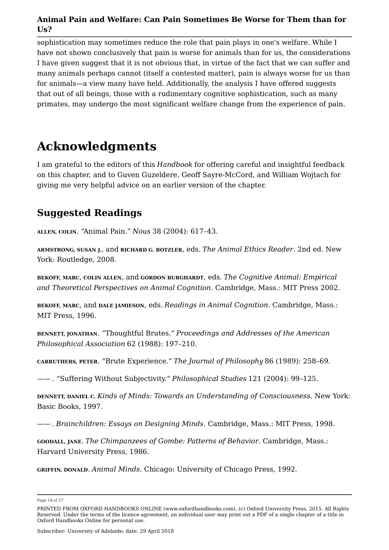sophistication may sometimes reduce the role that pain plays in one's welfare. While I have not shown conclusively that pain is worse for animals than for us, the considerations I have given suggest that it is not obvious that, in virtue of the fact that we can suffer and many animals perhaps cannot (itself a contested matter), pain is always worse for us than for animals—a view many have held. Additionally, the analysis I have offered suggests that out of all beings, those with a rudimentary cognitive sophistication, such as many primates, may undergo the most significant welfare change from the experience of pain.

# **Acknowledgments**

I am grateful to the editors of this *Handbook* for offering careful and insightful feedback on this chapter, and to Guven Guzeldere, Geoff Sayre-McCord, and William Wojtach for giving me very helpful advice on an earlier version of the chapter.

### **Suggested Readings**

**ALLEN, COLIN**. "Animal Pain." *Nous* 38 (2004): 617–43.

**ARMSTRONG, SUSAN J.**, and **RICHARD G. BOTZLER**, eds. *The Animal Ethics Reader*. 2nd ed. New York: Routledge, 2008.

**BEKOFF, MARC**, **COLIN ALLEN**, and **GORDON BURGHARDT**, eds. *The Cognitive Animal: Empirical and Theoretical Perspectives on Animal Cognition*. Cambridge, Mass.: MIT Press 2002.

**BEKOFF, MARC**, and **DALE JAMIESON**, eds. *Readings in Animal Cognition*. Cambridge, Mass.: MIT Press, 1996.

**BENNETT, JONATHAN**. "Thoughtful Brutes." *Proceedings and Addresses of the American Philosophical Association* 62 (1988): 197–210.

**CARRUTHERS, PETER**. "Brute Experience." *The Journal of Philosophy* 86 (1989): 258–69.

—— . "Suffering Without Subjectivity." *Philosophical Studies* 121 (2004): 99–125.

**DENNETT, DANIEL C.** *Kinds of Minds: Towards an Understanding of Consciousness*. New York: Basic Books, 1997.

—— . *Brainchildren: Essays on Designing Minds*. Cambridge, Mass.: MIT Press, 1998.

**GOODALL, JANE**. *The Chimpanzees of Gombe: Patterns of Behavior*. Cambridge, Mass.: Harvard University Press, 1986.

**GRIFFIN, DONALD**. *Animal Minds*. Chicago: University of Chicago Press, 1992.

Page 18 of 27

PRINTED FROM OXFORD HANDBOOKS ONLINE (www.oxfordhandbooks.com). (c) Oxford University Press, 2015. All Rights Reserved. Under the terms of the licence agreement, an individual user may print out a PDF of a single chapter of a title in Oxford Handbooks Online for personal use.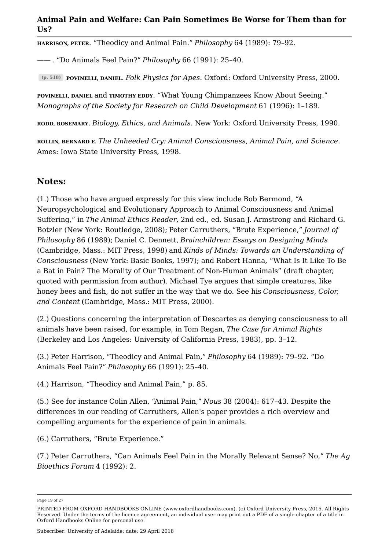**HARRISON, PETER**. "Theodicy and Animal Pain." *Philosophy* 64 (1989): 79–92.

—— . "Do Animals Feel Pain?" *Philosophy* 66 (1991): 25–40.

**POVINELLI, DANIEL**. *Folk Physics for Apes*. Oxford: Oxford University Press, 2000. **(p. 518)**

**POVINELLI, DANIEL** and **TIMOTHY EDDY**. "What Young Chimpanzees Know About Seeing." *Monographs of the Society for Research on Child Development* 61 (1996): 1–189.

**RODD, ROSEMARY**. *Biology, Ethics, and Animals*. New York: Oxford University Press, 1990.

**ROLLIN, BERNARD E.** *The Unheeded Cry: Animal Consciousness, Animal Pain, and Science*. Ames: Iowa State University Press, 1998.

### **Notes:**

(1.) Those who have argued expressly for this view include Bob Bermond, "A Neuropsychological and Evolutionary Approach to Animal Consciousness and Animal Suffering," in *The Animal Ethics Reader*, 2nd ed., ed. Susan J. Armstrong and Richard G. Botzler (New York: Routledge, 2008); Peter Carruthers, "Brute Experience," *Journal of Philosophy* 86 (1989); Daniel C. Dennett, *Brainchildren: Essays on Designing Minds* (Cambridge, Mass.: MIT Press, 1998) and *Kinds of Minds: Towards an Understanding of Consciousness* (New York: Basic Books, 1997); and Robert Hanna, "What Is It Like To Be a Bat in Pain? The Morality of Our Treatment of Non-Human Animals" (draft chapter, quoted with permission from author). Michael Tye argues that simple creatures, like honey bees and fish, do not suffer in the way that we do. See his *Consciousness, Color, and Content* (Cambridge, Mass.: MIT Press, 2000).

(2.) Questions concerning the interpretation of Descartes as denying consciousness to all animals have been raised, for example, in Tom Regan, *The Case for Animal Rights* (Berkeley and Los Angeles: University of California Press, 1983), pp. 3–12.

(3.) Peter Harrison, "Theodicy and Animal Pain," *Philosophy* 64 (1989): 79–92. "Do Animals Feel Pain?" *Philosophy* 66 (1991): 25–40.

(4.) Harrison, "Theodicy and Animal Pain," p. 85.

(5.) See for instance Colin Allen, "Animal Pain," *Nous* 38 (2004): 617–43. Despite the differences in our reading of Carruthers, Allen's paper provides a rich overview and compelling arguments for the experience of pain in animals.

(6.) Carruthers, "Brute Experience."

(7.) Peter Carruthers, "Can Animals Feel Pain in the Morally Relevant Sense? No," *The Ag Bioethics Forum* 4 (1992): 2.

Page 19 of 27

PRINTED FROM OXFORD HANDBOOKS ONLINE (www.oxfordhandbooks.com). (c) Oxford University Press, 2015. All Rights Reserved. Under the terms of the licence agreement, an individual user may print out a PDF of a single chapter of a title in Oxford Handbooks Online for personal use.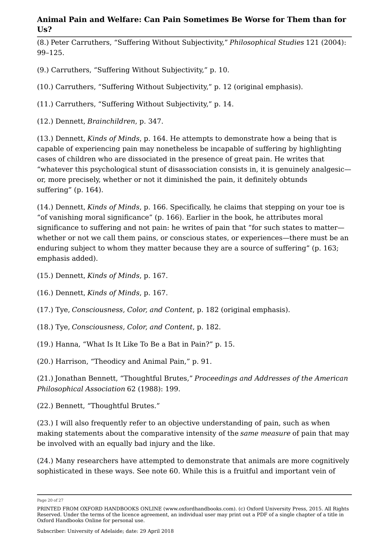(8.) Peter Carruthers, "Suffering Without Subjectivity," *Philosophical Studies* 121 (2004): 99–125.

(9.) Carruthers, "Suffering Without Subjectivity," p. 10.

(10.) Carruthers, "Suffering Without Subjectivity," p. 12 (original emphasis).

(11.) Carruthers, "Suffering Without Subjectivity," p. 14.

(12.) Dennett, *Brainchildren*, p. 347.

(13.) Dennett, *Kinds of Minds*, p. 164. He attempts to demonstrate how a being that is capable of experiencing pain may nonetheless be incapable of suffering by highlighting cases of children who are dissociated in the presence of great pain. He writes that "whatever this psychological stunt of disassociation consists in, it is genuinely analgesic or, more precisely, whether or not it diminished the pain, it definitely obtunds suffering" (p. 164).

(14.) Dennett, *Kinds of Minds*, p. 166. Specifically, he claims that stepping on your toe is "of vanishing moral significance" (p. 166). Earlier in the book, he attributes moral significance to suffering and not pain: he writes of pain that "for such states to matter whether or not we call them pains, or conscious states, or experiences—there must be an enduring subject to whom they matter because they are a source of suffering" (p. 163; emphasis added).

(15.) Dennett, *Kinds of Minds*, p. 167.

(16.) Dennett, *Kinds of Minds*, p. 167.

(17.) Tye, *Consciousness, Color, and Content*, p. 182 (original emphasis).

- (18.) Tye, *Consciousness, Color, and Content*, p. 182.
- (19.) Hanna, "What Is It Like To Be a Bat in Pain?" p. 15.

(20.) Harrison, "Theodicy and Animal Pain," p. 91.

(21.) Jonathan Bennett, "Thoughtful Brutes," *Proceedings and Addresses of the American Philosophical Association* 62 (1988): 199.

(22.) Bennett, "Thoughtful Brutes."

(23.) I will also frequently refer to an objective understanding of pain, such as when making statements about the comparative intensity of the *same measure* of pain that may be involved with an equally bad injury and the like.

(24.) Many researchers have attempted to demonstrate that animals are more cognitively sophisticated in these ways. See note 60. While this is a fruitful and important vein of

Page 20 of 27

PRINTED FROM OXFORD HANDBOOKS ONLINE (www.oxfordhandbooks.com). (c) Oxford University Press, 2015. All Rights Reserved. Under the terms of the licence agreement, an individual user may print out a PDF of a single chapter of a title in Oxford Handbooks Online for personal use.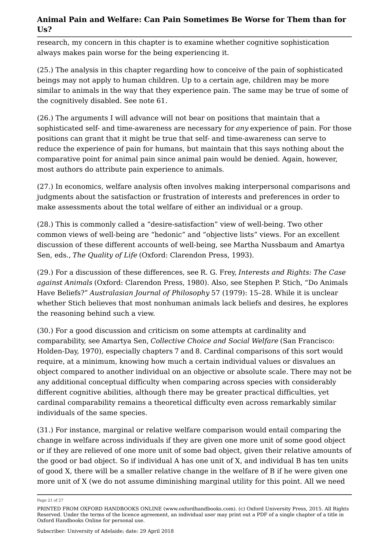research, my concern in this chapter is to examine whether cognitive sophistication always makes pain worse for the being experiencing it.

(25.) The analysis in this chapter regarding how to conceive of the pain of sophisticated beings may not apply to human children. Up to a certain age, children may be more similar to animals in the way that they experience pain. The same may be true of some of the cognitively disabled. See note 61.

(26.) The arguments I will advance will not bear on positions that maintain that a sophisticated self- and time-awareness are necessary for *any* experience of pain. For those positions can grant that it might be true that self- and time-awareness can serve to reduce the experience of pain for humans, but maintain that this says nothing about the comparative point for animal pain since animal pain would be denied. Again, however, most authors do attribute pain experience to animals.

(27.) In economics, welfare analysis often involves making interpersonal comparisons and judgments about the satisfaction or frustration of interests and preferences in order to make assessments about the total welfare of either an individual or a group.

(28.) This is commonly called a "desire-satisfaction" view of well-being. Two other common views of well-being are "hedonic" and "objective lists" views. For an excellent discussion of these different accounts of well-being, see Martha Nussbaum and Amartya Sen, eds., *The Quality of Life* (Oxford: Clarendon Press, 1993).

(29.) For a discussion of these differences, see R. G. Frey, *Interests and Rights: The Case against Animals* (Oxford: Clarendon Press, 1980). Also, see Stephen P. Stich, "Do Animals Have Beliefs?" *Australasian Journal of Philosophy* 57 (1979): 15–28. While it is unclear whether Stich believes that most nonhuman animals lack beliefs and desires, he explores the reasoning behind such a view.

(30.) For a good discussion and criticism on some attempts at cardinality and comparability, see Amartya Sen, *Collective Choice and Social Welfare* (San Francisco: Holden-Day, 1970), especially chapters 7 and 8. Cardinal comparisons of this sort would require, at a minimum, knowing how much a certain individual values or disvalues an object compared to another individual on an objective or absolute scale. There may not be any additional conceptual difficulty when comparing across species with considerably different cognitive abilities, although there may be greater practical difficulties, yet cardinal comparability remains a theoretical difficulty even across remarkably similar individuals of the same species.

(31.) For instance, marginal or relative welfare comparison would entail comparing the change in welfare across individuals if they are given one more unit of some good object or if they are relieved of one more unit of some bad object, given their relative amounts of the good or bad object. So if individual A has one unit of X, and individual B has ten units of good X, there will be a smaller relative change in the welfare of B if he were given one more unit of X (we do not assume diminishing marginal utility for this point. All we need

Page 21 of 27

PRINTED FROM OXFORD HANDBOOKS ONLINE (www.oxfordhandbooks.com). (c) Oxford University Press, 2015. All Rights Reserved. Under the terms of the licence agreement, an individual user may print out a PDF of a single chapter of a title in Oxford Handbooks Online for personal use.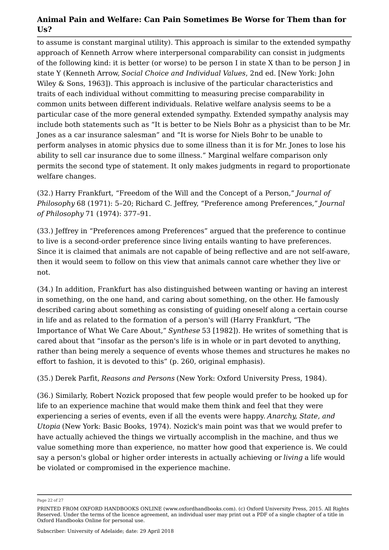to assume is constant marginal utility). This approach is similar to the extended sympathy approach of Kenneth Arrow where interpersonal comparability can consist in judgments of the following kind: it is better (or worse) to be person I in state X than to be person J in state Y (Kenneth Arrow, *Social Choice and Individual Values*, 2nd ed. [New York: John Wiley & Sons, 1963]). This approach is inclusive of the particular characteristics and traits of each individual without committing to measuring precise comparability in common units between different individuals. Relative welfare analysis seems to be a particular case of the more general extended sympathy. Extended sympathy analysis may include both statements such as "It is better to be Niels Bohr as a physicist than to be Mr. Jones as a car insurance salesman" and "It is worse for Niels Bohr to be unable to perform analyses in atomic physics due to some illness than it is for Mr. Jones to lose his ability to sell car insurance due to some illness." Marginal welfare comparison only permits the second type of statement. It only makes judgments in regard to proportionate welfare changes.

(32.) Harry Frankfurt, "Freedom of the Will and the Concept of a Person," *Journal of Philosophy* 68 (1971): 5–20; Richard C. Jeffrey, "Preference among Preferences," *Journal of Philosophy* 71 (1974): 377–91.

(33.) Jeffrey in "Preferences among Preferences" argued that the preference to continue to live is a second-order preference since living entails wanting to have preferences. Since it is claimed that animals are not capable of being reflective and are not self-aware, then it would seem to follow on this view that animals cannot care whether they live or not.

(34.) In addition, Frankfurt has also distinguished between wanting or having an interest in something, on the one hand, and caring about something, on the other. He famously described caring about something as consisting of guiding oneself along a certain course in life and as related to the formation of a person's will (Harry Frankfurt, "The Importance of What We Care About," *Synthese* 53 [1982]). He writes of something that is cared about that "insofar as the person's life is in whole or in part devoted to anything, rather than being merely a sequence of events whose themes and structures he makes no effort to fashion, it is devoted to this" (p. 260, original emphasis).

(35.) Derek Parfit, *Reasons and Persons* (New York: Oxford University Press, 1984).

(36.) Similarly, Robert Nozick proposed that few people would prefer to be hooked up for life to an experience machine that would make them think and feel that they were experiencing a series of events, even if all the events were happy. *Anarchy, State, and Utopia* (New York: Basic Books, 1974). Nozick's main point was that we would prefer to have actually achieved the things we virtually accomplish in the machine, and thus we value something more than experience, no matter how good that experience is. We could say a person's global or higher order interests in actually achieving or *living* a life would be violated or compromised in the experience machine.

Page 22 of 27

PRINTED FROM OXFORD HANDBOOKS ONLINE (www.oxfordhandbooks.com). (c) Oxford University Press, 2015. All Rights Reserved. Under the terms of the licence agreement, an individual user may print out a PDF of a single chapter of a title in Oxford Handbooks Online for personal use.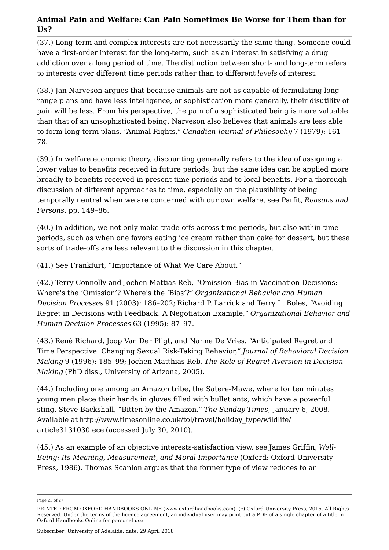(37.) Long-term and complex interests are not necessarily the same thing. Someone could have a first-order interest for the long-term, such as an interest in satisfying a drug addiction over a long period of time. The distinction between short- and long-term refers to interests over different time periods rather than to different *levels* of interest.

(38.) Jan Narveson argues that because animals are not as capable of formulating longrange plans and have less intelligence, or sophistication more generally, their disutility of pain will be less. From his perspective, the pain of a sophisticated being is more valuable than that of an unsophisticated being. Narveson also believes that animals are less able to form long-term plans. "Animal Rights," *Canadian Journal of Philosophy* 7 (1979): 161– 78.

(39.) In welfare economic theory, discounting generally refers to the idea of assigning a lower value to benefits received in future periods, but the same idea can be applied more broadly to benefits received in present time periods and to local benefits. For a thorough discussion of different approaches to time, especially on the plausibility of being temporally neutral when we are concerned with our own welfare, see Parfit, *Reasons and Persons*, pp. 149–86.

(40.) In addition, we not only make trade-offs across time periods, but also within time periods, such as when one favors eating ice cream rather than cake for dessert, but these sorts of trade-offs are less relevant to the discussion in this chapter.

(41.) See Frankfurt, "Importance of What We Care About."

(42.) Terry Connolly and Jochen Mattias Reb, "Omission Bias in Vaccination Decisions: Where's the 'Omission'? Where's the 'Bias'?" *Organizational Behavior and Human Decision Processes* 91 (2003): 186–202; Richard P. Larrick and Terry L. Boles, "Avoiding Regret in Decisions with Feedback: A Negotiation Example," *Organizational Behavior and Human Decision Processes* 63 (1995): 87–97.

(43.) René Richard, Joop Van Der Pligt, and Nanne De Vries. "Anticipated Regret and Time Perspective: Changing Sexual Risk-Taking Behavior," *Journal of Behavioral Decision Making* 9 (1996): 185–99; Jochen Matthias Reb, *The Role of Regret Aversion in Decision Making* (PhD diss., University of Arizona, 2005).

(44.) Including one among an Amazon tribe, the Satere-Mawe, where for ten minutes young men place their hands in gloves filled with bullet ants, which have a powerful sting. Steve Backshall, "Bitten by the Amazon," *The Sunday Times*, January 6, 2008. Available at http://www.timesonline.co.uk/tol/travel/holiday\_type/wildlife/ article3131030.ece (accessed July 30, 2010).

(45.) As an example of an objective interests-satisfaction view, see James Griffin, *Well-Being: Its Meaning, Measurement, and Moral Importance* (Oxford: Oxford University Press, 1986). Thomas Scanlon argues that the former type of view reduces to an

Page 23 of 27

PRINTED FROM OXFORD HANDBOOKS ONLINE (www.oxfordhandbooks.com). (c) Oxford University Press, 2015. All Rights Reserved. Under the terms of the licence agreement, an individual user may print out a PDF of a single chapter of a title in Oxford Handbooks Online for personal use.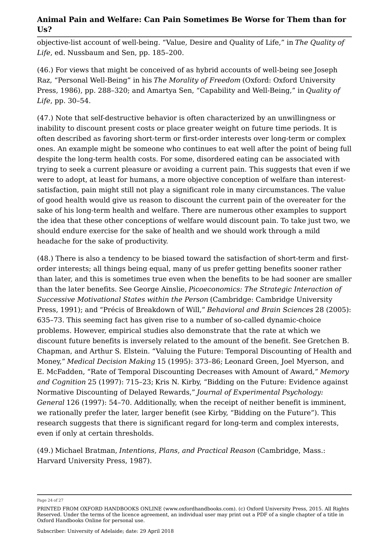objective-list account of well-being. "Value, Desire and Quality of Life," in *The Quality of Life*, ed. Nussbaum and Sen, pp. 185–200.

(46.) For views that might be conceived of as hybrid accounts of well-being see Joseph Raz, "Personal Well-Being" in his *The Morality of Freedom* (Oxford: Oxford University Press, 1986), pp. 288–320; and Amartya Sen, "Capability and Well-Being," in *Quality of Life*, pp. 30–54.

(47.) Note that self-destructive behavior is often characterized by an unwillingness or inability to discount present costs or place greater weight on future time periods. It is often described as favoring short-term or first-order interests over long-term or complex ones. An example might be someone who continues to eat well after the point of being full despite the long-term health costs. For some, disordered eating can be associated with trying to seek a current pleasure or avoiding a current pain. This suggests that even if we were to adopt, at least for humans, a more objective conception of welfare than interestsatisfaction, pain might still not play a significant role in many circumstances. The value of good health would give us reason to discount the current pain of the overeater for the sake of his long-term health and welfare. There are numerous other examples to support the idea that these other conceptions of welfare would discount pain. To take just two, we should endure exercise for the sake of health and we should work through a mild headache for the sake of productivity.

(48.) There is also a tendency to be biased toward the satisfaction of short-term and firstorder interests; all things being equal, many of us prefer getting benefits sooner rather than later, and this is sometimes true even when the benefits to be had sooner are smaller than the later benefits. See George Ainslie, *Picoeconomics: The Strategic Interaction of Successive Motivational States within the Person* (Cambridge: Cambridge University Press, 1991); and "Précis of Breakdown of Will," *Behavioral and Brain Sciences* 28 (2005): 635–73. This seeming fact has given rise to a number of so-called dynamic-choice problems. However, empirical studies also demonstrate that the rate at which we discount future benefits is inversely related to the amount of the benefit. See Gretchen B. Chapman, and Arthur S. Elstein. "Valuing the Future: Temporal Discounting of Health and Money," *Medical Decision Making* 15 (1995): 373-86; Leonard Green, Joel Myerson, and E. McFadden, "Rate of Temporal Discounting Decreases with Amount of Award," *Memory and Cognition* 25 (1997): 715–23; Kris N. Kirby, "Bidding on the Future: Evidence against Normative Discounting of Delayed Rewards," *Journal of Experimental Psychology: General* 126 (1997): 54–70. Additionally, when the receipt of neither benefit is imminent, we rationally prefer the later, larger benefit (see Kirby, "Bidding on the Future"). This research suggests that there is significant regard for long-term and complex interests, even if only at certain thresholds.

(49.) Michael Bratman, *Intentions, Plans, and Practical Reason* (Cambridge, Mass.: Harvard University Press, 1987).

Page 24 of 27

PRINTED FROM OXFORD HANDBOOKS ONLINE (www.oxfordhandbooks.com). (c) Oxford University Press, 2015. All Rights Reserved. Under the terms of the licence agreement, an individual user may print out a PDF of a single chapter of a title in Oxford Handbooks Online for personal use.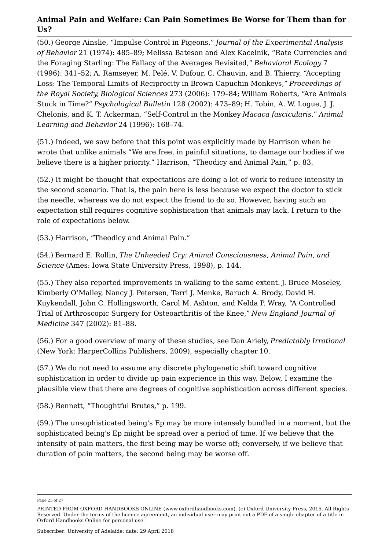(50.) George Ainslie, "Impulse Control in Pigeons," *Journal of the Experimental Analysis of Behavior* 21 (1974): 485–89; Melissa Bateson and Alex Kacelnik, "Rate Currencies and the Foraging Starling: The Fallacy of the Averages Revisited," *Behavioral Ecology* 7 (1996): 341–52; A. Ramseyer, M. Pelé, V. Dufour, C. Chauvin, and B. Thierry, "Accepting Loss: The Temporal Limits of Reciprocity in Brown Capuchin Monkeys," *Proceedings of the Royal Society, Biological Sciences* 273 (2006): 179–84; William Roberts, "Are Animals Stuck in Time?" *Psychological Bulletin* 128 (2002): 473–89; H. Tobin, A. W. Logue, J. J. Chelonis, and K. T. Ackerman, "Self-Control in the Monkey *Macaca fascicularis*," *Animal Learning and Behavior* 24 (1996): 168–74.

(51.) Indeed, we saw before that this point was explicitly made by Harrison when he wrote that unlike animals "We are free, in painful situations, to damage our bodies if we believe there is a higher priority." Harrison, "Theodicy and Animal Pain," p. 83.

(52.) It might be thought that expectations are doing a lot of work to reduce intensity in the second scenario. That is, the pain here is less because we expect the doctor to stick the needle, whereas we do not expect the friend to do so. However, having such an expectation still requires cognitive sophistication that animals may lack. I return to the role of expectations below.

(53.) Harrison, "Theodicy and Animal Pain."

(54.) Bernard E. Rollin, *The Unheeded Cry: Animal Consciousness, Animal Pain, and Science* (Ames: Iowa State University Press, 1998), p. 144.

(55.) They also reported improvements in walking to the same extent. J. Bruce Moseley, Kimberly O'Malley, Nancy J. Petersen, Terri J. Menke, Baruch A. Brody, David H. Kuykendall, John C. Hollingsworth, Carol M. Ashton, and Nelda P. Wray, "A Controlled Trial of Arthroscopic Surgery for Osteoarthritis of the Knee," *New England Journal of Medicine* 347 (2002): 81–88.

(56.) For a good overview of many of these studies, see Dan Ariely, *Predictably Irrational* (New York: HarperCollins Publishers, 2009), especially chapter 10.

(57.) We do not need to assume any discrete phylogenetic shift toward cognitive sophistication in order to divide up pain experience in this way. Below, I examine the plausible view that there are degrees of cognitive sophistication across different species.

(58.) Bennett, "Thoughtful Brutes," p. 199.

(59.) The unsophisticated being's Ep may be more intensely bundled in a moment, but the sophisticated being's Ep might be spread over a period of time. If we believe that the intensity of pain matters, the first being may be worse off; conversely, if we believe that duration of pain matters, the second being may be worse off.

Page 25 of 27

PRINTED FROM OXFORD HANDBOOKS ONLINE (www.oxfordhandbooks.com). (c) Oxford University Press, 2015. All Rights Reserved. Under the terms of the licence agreement, an individual user may print out a PDF of a single chapter of a title in Oxford Handbooks Online for personal use.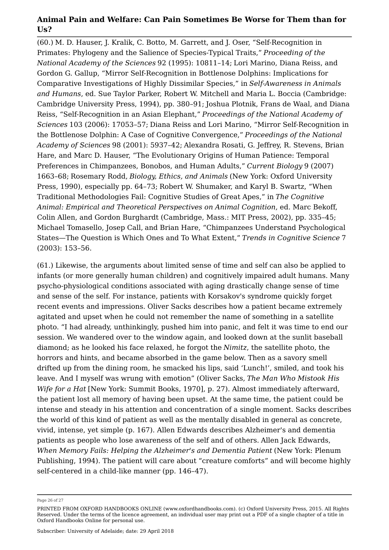(60.) M. D. Hauser, J. Kralik, C. Botto, M. Garrett, and J. Oser, "Self-Recognition in Primates: Phylogeny and the Salience of Species-Typical Traits," *Proceeding of the National Academy of the Sciences* 92 (1995): 10811–14; Lori Marino, Diana Reiss, and Gordon G. Gallup, "Mirror Self-Recognition in Bottlenose Dolphins: Implications for Comparative Investigations of Highly Dissimilar Species," in *Self-Awareness in Animals and Humans*, ed. Sue Taylor Parker, Robert W. Mitchell and Maria L. Boccia (Cambridge: Cambridge University Press, 1994), pp. 380–91; Joshua Plotnik, Frans de Waal, and Diana Reiss, "Self-Recognition in an Asian Elephant," *Proceedings of the National Academy of Sciences* 103 (2006): 17053–57; Diana Reiss and Lori Marino, "Mirror Self-Recognition in the Bottlenose Dolphin: A Case of Cognitive Convergence," *Proceedings of the National Academy of Sciences* 98 (2001): 5937–42; Alexandra Rosati, G. Jeffrey, R. Stevens, Brian Hare, and Marc D. Hauser, "The Evolutionary Origins of Human Patience: Temporal Preferences in Chimpanzees, Bonobos, and Human Adults," *Current Biology* 9 (2007) 1663–68; Rosemary Rodd, *Biology, Ethics, and Animals* (New York: Oxford University Press, 1990), especially pp. 64–73; Robert W. Shumaker, and Karyl B. Swartz, "When Traditional Methodologies Fail: Cognitive Studies of Great Apes," in *The Cognitive Animal: Empirical and Theoretical Perspectives on Animal Cognition*, ed. Marc Bekoff, Colin Allen, and Gordon Burghardt (Cambridge, Mass.: MIT Press, 2002), pp. 335–45; Michael Tomasello, Josep Call, and Brian Hare, "Chimpanzees Understand Psychological States—The Question is Which Ones and To What Extent," *Trends in Cognitive Science* 7 (2003): 153–56.

(61.) Likewise, the arguments about limited sense of time and self can also be applied to infants (or more generally human children) and cognitively impaired adult humans. Many psycho-physiological conditions associated with aging drastically change sense of time and sense of the self. For instance, patients with Korsakov's syndrome quickly forget recent events and impressions. Oliver Sacks describes how a patient became extremely agitated and upset when he could not remember the name of something in a satellite photo. "I had already, unthinkingly, pushed him into panic, and felt it was time to end our session. We wandered over to the window again, and looked down at the sunlit baseball diamond; as he looked his face relaxed, he forgot the *Nimitz*, the satellite photo, the horrors and hints, and became absorbed in the game below. Then as a savory smell drifted up from the dining room, he smacked his lips, said 'Lunch!', smiled, and took his leave. And I myself was wrung with emotion" (Oliver Sacks, *The Man Who Mistook His Wife for a Hat* [New York: Summit Books, 1970], p. 27). Almost immediately afterward, the patient lost all memory of having been upset. At the same time, the patient could be intense and steady in his attention and concentration of a single moment. Sacks describes the world of this kind of patient as well as the mentally disabled in general as concrete, vivid, intense, yet simple (p. 167). Allen Edwards describes Alzheimer's and dementia patients as people who lose awareness of the self and of others. Allen Jack Edwards, *When Memory Fails: Helping the Alzheimer's and Dementia Patient* (New York: Plenum Publishing, 1994). The patient will care about "creature comforts" and will become highly self-centered in a child-like manner (pp. 146–47).

Page 26 of 27

PRINTED FROM OXFORD HANDBOOKS ONLINE (www.oxfordhandbooks.com). (c) Oxford University Press, 2015. All Rights Reserved. Under the terms of the licence agreement, an individual user may print out a PDF of a single chapter of a title in Oxford Handbooks Online for personal use.